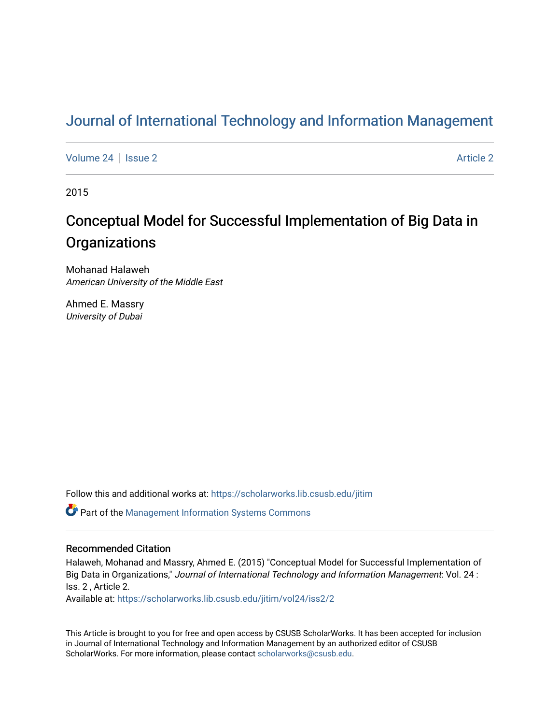## [Journal of International Technology and Information Management](https://scholarworks.lib.csusb.edu/jitim)

[Volume 24](https://scholarworks.lib.csusb.edu/jitim/vol24) | [Issue 2](https://scholarworks.lib.csusb.edu/jitim/vol24/iss2) [Article 2](https://scholarworks.lib.csusb.edu/jitim/vol24/iss2/2) Article 2 Article 2 Article 2 Article 2 Article 2 Article 2 Article 2 Article 2

2015

# Conceptual Model for Successful Implementation of Big Data in **Organizations**

Mohanad Halaweh American University of the Middle East

Ahmed E. Massry University of Dubai

Follow this and additional works at: [https://scholarworks.lib.csusb.edu/jitim](https://scholarworks.lib.csusb.edu/jitim?utm_source=scholarworks.lib.csusb.edu%2Fjitim%2Fvol24%2Fiss2%2F2&utm_medium=PDF&utm_campaign=PDFCoverPages) 

Part of the [Management Information Systems Commons](http://network.bepress.com/hgg/discipline/636?utm_source=scholarworks.lib.csusb.edu%2Fjitim%2Fvol24%2Fiss2%2F2&utm_medium=PDF&utm_campaign=PDFCoverPages) 

#### Recommended Citation

Halaweh, Mohanad and Massry, Ahmed E. (2015) "Conceptual Model for Successful Implementation of Big Data in Organizations," Journal of International Technology and Information Management: Vol. 24 : Iss. 2 , Article 2.

Available at: [https://scholarworks.lib.csusb.edu/jitim/vol24/iss2/2](https://scholarworks.lib.csusb.edu/jitim/vol24/iss2/2?utm_source=scholarworks.lib.csusb.edu%2Fjitim%2Fvol24%2Fiss2%2F2&utm_medium=PDF&utm_campaign=PDFCoverPages) 

This Article is brought to you for free and open access by CSUSB ScholarWorks. It has been accepted for inclusion in Journal of International Technology and Information Management by an authorized editor of CSUSB ScholarWorks. For more information, please contact [scholarworks@csusb.edu.](mailto:scholarworks@csusb.edu)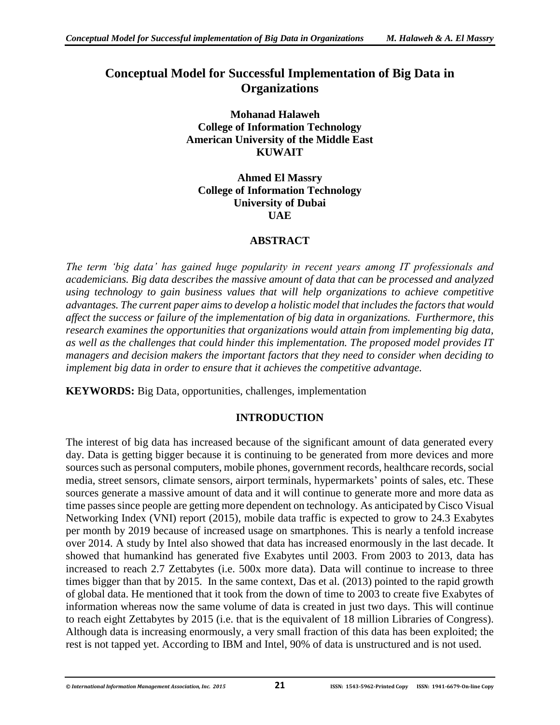### **Conceptual Model for Successful Implementation of Big Data in Organizations**

**Mohanad Halaweh College of Information Technology American University of the Middle East KUWAIT**

**Ahmed El Massry College of Information Technology University of Dubai UAE**

#### **ABSTRACT**

*The term 'big data' has gained huge popularity in recent years among IT professionals and academicians. Big data describes the massive amount of data that can be processed and analyzed using technology to gain business values that will help organizations to achieve competitive advantages. The current paper aims to develop a holistic model that includes the factors that would affect the success or failure of the implementation of big data in organizations. Furthermore, this research examines the opportunities that organizations would attain from implementing big data, as well as the challenges that could hinder this implementation. The proposed model provides IT managers and decision makers the important factors that they need to consider when deciding to implement big data in order to ensure that it achieves the competitive advantage.*

**KEYWORDS:** Big Data, opportunities, challenges, implementation

#### **INTRODUCTION**

The interest of big data has increased because of the significant amount of data generated every day. Data is getting bigger because it is continuing to be generated from more devices and more sources such as personal computers, mobile phones, government records, healthcare records, social media, street sensors, climate sensors, airport terminals, hypermarkets' points of sales, etc. These sources generate a massive amount of data and it will continue to generate more and more data as time passes since people are getting more dependent on technology. As anticipated by Cisco Visual Networking Index (VNI) report (2015), mobile data traffic is expected to grow to 24.3 Exabytes per month by 2019 because of increased usage on smartphones. This is nearly a tenfold increase over 2014. A study by Intel also showed that data has increased enormously in the last decade. It showed that humankind has generated five Exabytes until 2003. From 2003 to 2013, data has increased to reach 2.7 Zettabytes (i.e. 500x more data). Data will continue to increase to three times bigger than that by 2015. In the same context, Das et al. (2013) pointed to the rapid growth of global data. He mentioned that it took from the down of time to 2003 to create five Exabytes of information whereas now the same volume of data is created in just two days. This will continue to reach eight Zettabytes by 2015 (i.e. that is the equivalent of 18 million Libraries of Congress). Although data is increasing enormously, a very small fraction of this data has been exploited; the rest is not tapped yet. According to IBM and Intel, 90% of data is unstructured and is not used.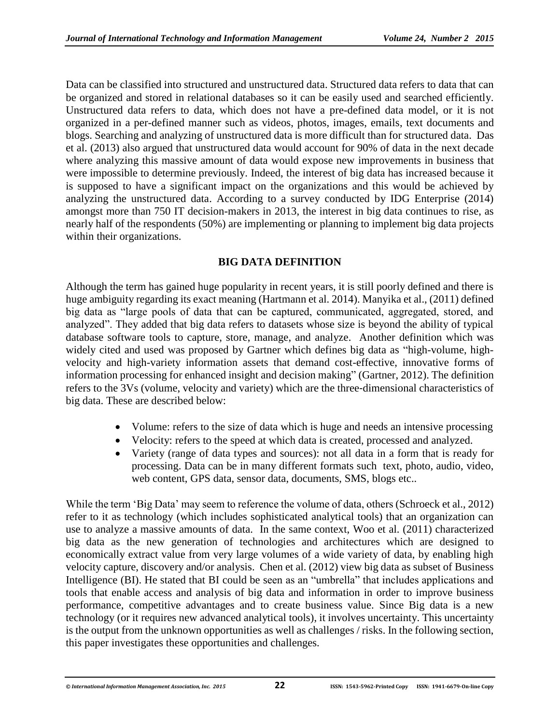Data can be classified into structured and unstructured data. Structured data refers to data that can be organized and stored in relational databases so it can be easily used and searched efficiently. Unstructured data refers to data, which does not have a pre-defined data model, or it is not organized in a per-defined manner such as videos, photos, images, emails, text documents and blogs. Searching and analyzing of unstructured data is more difficult than for structured data. Das et al. (2013) also argued that unstructured data would account for 90% of data in the next decade where analyzing this massive amount of data would expose new improvements in business that were impossible to determine previously. Indeed, the interest of big data has increased because it is supposed to have a significant impact on the organizations and this would be achieved by analyzing the unstructured data. According to a survey conducted by IDG Enterprise (2014) amongst more than 750 IT decision-makers in 2013, the interest in big data continues to rise, as nearly half of the respondents (50%) are implementing or planning to implement big data projects within their organizations.

#### **BIG DATA DEFINITION**

Although the term has gained huge popularity in recent years, it is still poorly defined and there is huge ambiguity regarding its exact meaning (Hartmann et al. 2014). Manyika et al., (2011) defined big data as "large pools of data that can be captured, communicated, aggregated, stored, and analyzed". They added that big data refers to datasets whose size is beyond the ability of typical database software tools to capture, store, manage, and analyze. Another definition which was widely cited and used was proposed by Gartner which defines big data as "high-volume, highvelocity and high-variety information assets that demand cost-effective, innovative forms of information processing for enhanced insight and decision making" (Gartner, 2012). The definition refers to the 3Vs (volume, velocity and variety) which are the three-dimensional characteristics of big data. These are described below:

- Volume: refers to the size of data which is huge and needs an intensive processing
- Velocity: refers to the speed at which data is created, processed and analyzed.
- Variety (range of data types and sources): not all data in a form that is ready for processing. Data can be in many different formats such text, photo, audio, video, web content, GPS data, sensor data, documents, SMS, blogs etc..

While the term 'Big Data' may seem to reference the volume of data, others (Schroeck et al., 2012) refer to it as technology (which includes sophisticated analytical tools) that an organization can use to analyze a massive amounts of data. In the same context, Woo et al. (2011) characterized big data as the new generation of technologies and architectures which are designed to economically extract value from very large volumes of a wide variety of data, by enabling high velocity capture, discovery and/or analysis. Chen et al. (2012) view big data as subset of Business Intelligence (BI). He stated that BI could be seen as an "umbrella" that includes applications and tools that enable access and analysis of big data and information in order to improve business performance, competitive advantages and to create business value. Since Big data is a new technology (or it requires new advanced analytical tools), it involves uncertainty. This uncertainty is the output from the unknown opportunities as well as challenges / risks. In the following section, this paper investigates these opportunities and challenges.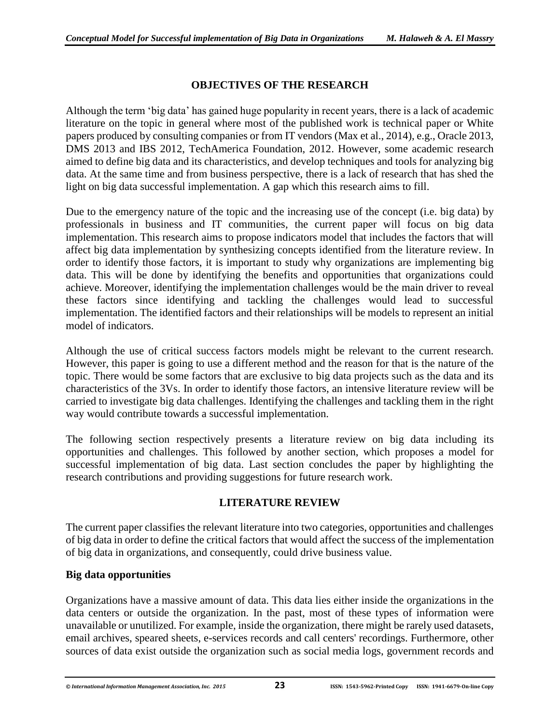#### **OBJECTIVES OF THE RESEARCH**

Although the term 'big data' has gained huge popularity in recent years, there is a lack of academic literature on the topic in general where most of the published work is technical paper or White papers produced by consulting companies or from IT vendors (Max et al., 2014), e.g., Oracle 2013, DMS 2013 and IBS 2012, TechAmerica Foundation, 2012. However, some academic research aimed to define big data and its characteristics, and develop techniques and tools for analyzing big data. At the same time and from business perspective, there is a lack of research that has shed the light on big data successful implementation. A gap which this research aims to fill.

Due to the emergency nature of the topic and the increasing use of the concept (i.e. big data) by professionals in business and IT communities, the current paper will focus on big data implementation. This research aims to propose indicators model that includes the factors that will affect big data implementation by synthesizing concepts identified from the literature review. In order to identify those factors, it is important to study why organizations are implementing big data. This will be done by identifying the benefits and opportunities that organizations could achieve. Moreover, identifying the implementation challenges would be the main driver to reveal these factors since identifying and tackling the challenges would lead to successful implementation. The identified factors and their relationships will be models to represent an initial model of indicators.

Although the use of critical success factors models might be relevant to the current research. However, this paper is going to use a different method and the reason for that is the nature of the topic. There would be some factors that are exclusive to big data projects such as the data and its characteristics of the 3Vs. In order to identify those factors, an intensive literature review will be carried to investigate big data challenges. Identifying the challenges and tackling them in the right way would contribute towards a successful implementation.

The following section respectively presents a literature review on big data including its opportunities and challenges. This followed by another section, which proposes a model for successful implementation of big data. Last section concludes the paper by highlighting the research contributions and providing suggestions for future research work.

#### **LITERATURE REVIEW**

The current paper classifies the relevant literature into two categories, opportunities and challenges of big data in order to define the critical factors that would affect the success of the implementation of big data in organizations, and consequently, could drive business value.

#### **Big data opportunities**

Organizations have a massive amount of data. This data lies either inside the organizations in the data centers or outside the organization. In the past, most of these types of information were unavailable or unutilized. For example, inside the organization, there might be rarely used datasets, email archives, speared sheets, e-services records and call centers' recordings. Furthermore, other sources of data exist outside the organization such as social media logs, government records and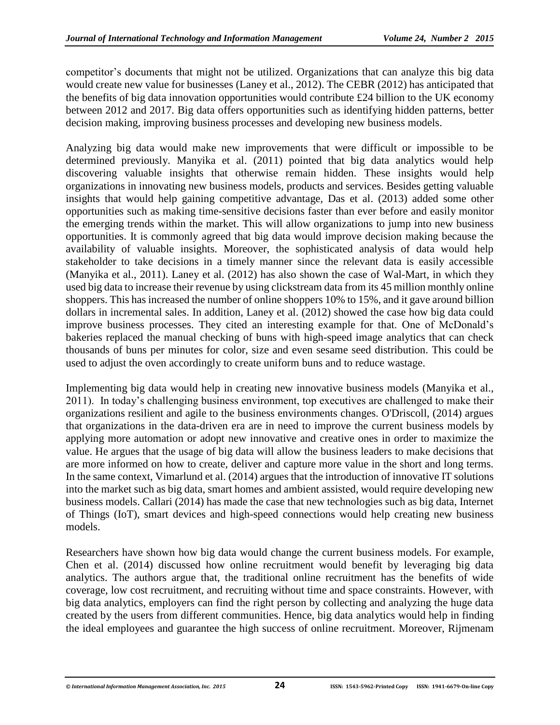competitor's documents that might not be utilized. Organizations that can analyze this big data would create new value for businesses (Laney et al., 2012). The CEBR (2012) has anticipated that the benefits of big data innovation opportunities would contribute £24 billion to the UK economy between 2012 and 2017. Big data offers opportunities such as identifying hidden patterns, better decision making, improving business processes and developing new business models.

Analyzing big data would make new improvements that were difficult or impossible to be determined previously. Manyika et al. (2011) pointed that big data analytics would help discovering valuable insights that otherwise remain hidden. These insights would help organizations in innovating new business models, products and services. Besides getting valuable insights that would help gaining competitive advantage, Das et al. (2013) added some other opportunities such as making time-sensitive decisions faster than ever before and easily monitor the emerging trends within the market. This will allow organizations to jump into new business opportunities. It is commonly agreed that big data would improve decision making because the availability of valuable insights. Moreover, the sophisticated analysis of data would help stakeholder to take decisions in a timely manner since the relevant data is easily accessible (Manyika et al., 2011). Laney et al. (2012) has also shown the case of Wal-Mart, in which they used big data to increase their revenue by using clickstream data from its 45 million monthly online shoppers. This has increased the number of online shoppers 10% to 15%, and it gave around billion dollars in incremental sales. In addition, Laney et al. (2012) showed the case how big data could improve business processes. They cited an interesting example for that. One of McDonald's bakeries replaced the manual checking of buns with high-speed image analytics that can check thousands of buns per minutes for color, size and even sesame seed distribution. This could be used to adjust the oven accordingly to create uniform buns and to reduce wastage.

Implementing big data would help in creating new innovative business models (Manyika et al., 2011). In today's challenging business environment, top executives are challenged to make their organizations resilient and agile to the business environments changes. O'Driscoll, (2014) argues that organizations in the data-driven era are in need to improve the current business models by applying more automation or adopt new innovative and creative ones in order to maximize the value. He argues that the usage of big data will allow the business leaders to make decisions that are more informed on how to create, deliver and capture more value in the short and long terms. In the same context, Vimarlund et al. (2014) argues that the introduction of innovative IT solutions into the market such as big data, smart homes and ambient assisted, would require developing new business models. Callari (2014) has made the case that new technologies such as big data, Internet of Things (IoT), smart devices and high-speed connections would help creating new business models.

Researchers have shown how big data would change the current business models. For example, Chen et al. (2014) discussed how online recruitment would benefit by leveraging big data analytics. The authors argue that, the traditional online recruitment has the benefits of wide coverage, low cost recruitment, and recruiting without time and space constraints. However, with big data analytics, employers can find the right person by collecting and analyzing the huge data created by the users from different communities. Hence, big data analytics would help in finding the ideal employees and guarantee the high success of online recruitment. Moreover, Rijmenam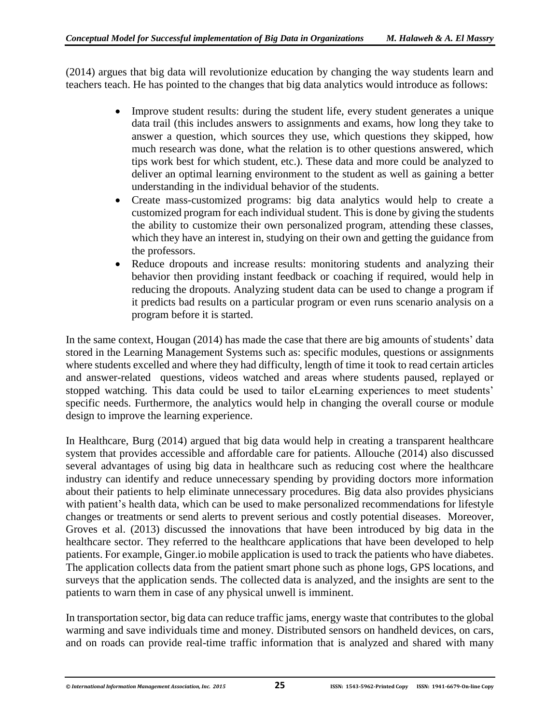(2014) argues that big data will revolutionize education by changing the way students learn and teachers teach. He has pointed to the changes that big data analytics would introduce as follows:

- Improve student results: during the student life, every student generates a unique data trail (this includes answers to assignments and exams, how long they take to answer a question, which sources they use, which questions they skipped, how much research was done, what the relation is to other questions answered, which tips work best for which student, etc.). These data and more could be analyzed to deliver an optimal learning environment to the student as well as gaining a better understanding in the individual behavior of the students.
- Create mass-customized programs: big data analytics would help to create a customized program for each individual student. This is done by giving the students the ability to customize their own personalized program, attending these classes, which they have an interest in, studying on their own and getting the guidance from the professors.
- Reduce dropouts and increase results: monitoring students and analyzing their behavior then providing instant feedback or coaching if required, would help in reducing the dropouts. Analyzing student data can be used to change a program if it predicts bad results on a particular program or even runs scenario analysis on a program before it is started.

In the same context, Hougan (2014) has made the case that there are big amounts of students' data stored in the Learning Management Systems such as: specific modules, questions or assignments where students excelled and where they had difficulty, length of time it took to read certain articles and answer-related questions, videos watched and areas where students paused, replayed or stopped watching. This data could be used to tailor eLearning experiences to meet students' specific needs. Furthermore, the analytics would help in changing the overall course or module design to improve the learning experience.

In Healthcare, Burg (2014) argued that big data would help in creating a transparent healthcare system that provides accessible and affordable care for patients. Allouche (2014) also discussed several advantages of using big data in healthcare such as reducing cost where the healthcare industry can identify and reduce unnecessary spending by providing doctors more information about their patients to help eliminate unnecessary procedures. Big data also provides physicians with patient's health data, which can be used to make personalized recommendations for lifestyle changes or treatments or send alerts to prevent serious and costly potential diseases. Moreover, Groves et al. (2013) discussed the innovations that have been introduced by big data in the healthcare sector. They referred to the healthcare applications that have been developed to help patients. For example, Ginger.io mobile application is used to track the patients who have diabetes. The application collects data from the patient smart phone such as phone logs, GPS locations, and surveys that the application sends. The collected data is analyzed, and the insights are sent to the patients to warn them in case of any physical unwell is imminent.

In transportation sector, big data can reduce traffic jams, energy waste that contributes to the global warming and save individuals time and money. Distributed sensors on handheld devices, on cars, and on roads can provide real-time traffic information that is analyzed and shared with many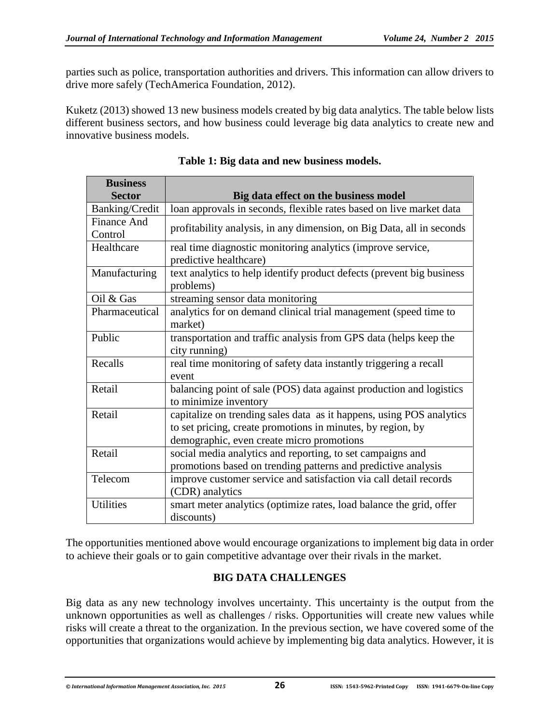parties such as police, transportation authorities and drivers. This information can allow drivers to drive more safely (TechAmerica Foundation, 2012).

Kuketz (2013) showed 13 new business models created by big data analytics. The table below lists different business sectors, and how business could leverage big data analytics to create new and innovative business models.

| <b>Business</b>    |                                                                       |
|--------------------|-----------------------------------------------------------------------|
| <b>Sector</b>      | Big data effect on the business model                                 |
| Banking/Credit     | loan approvals in seconds, flexible rates based on live market data   |
| <b>Finance And</b> | profitability analysis, in any dimension, on Big Data, all in seconds |
| Control            |                                                                       |
| Healthcare         | real time diagnostic monitoring analytics (improve service,           |
|                    | predictive healthcare)                                                |
| Manufacturing      | text analytics to help identify product defects (prevent big business |
|                    | problems)                                                             |
| Oil & Gas          | streaming sensor data monitoring                                      |
| Pharmaceutical     | analytics for on demand clinical trial management (speed time to      |
|                    | market)                                                               |
| Public             | transportation and traffic analysis from GPS data (helps keep the     |
|                    | city running)                                                         |
| Recalls            | real time monitoring of safety data instantly triggering a recall     |
|                    | event                                                                 |
| Retail             | balancing point of sale (POS) data against production and logistics   |
|                    | to minimize inventory                                                 |
| Retail             | capitalize on trending sales data as it happens, using POS analytics  |
|                    | to set pricing, create promotions in minutes, by region, by           |
|                    | demographic, even create micro promotions                             |
| Retail             | social media analytics and reporting, to set campaigns and            |
|                    | promotions based on trending patterns and predictive analysis         |
| Telecom            | improve customer service and satisfaction via call detail records     |
|                    | (CDR) analytics                                                       |
| <b>Utilities</b>   | smart meter analytics (optimize rates, load balance the grid, offer   |
|                    | discounts)                                                            |

**Table 1: Big data and new business models.**

The opportunities mentioned above would encourage organizations to implement big data in order to achieve their goals or to gain competitive advantage over their rivals in the market.

#### **BIG DATA CHALLENGES**

Big data as any new technology involves uncertainty. This uncertainty is the output from the unknown opportunities as well as challenges / risks. Opportunities will create new values while risks will create a threat to the organization. In the previous section, we have covered some of the opportunities that organizations would achieve by implementing big data analytics. However, it is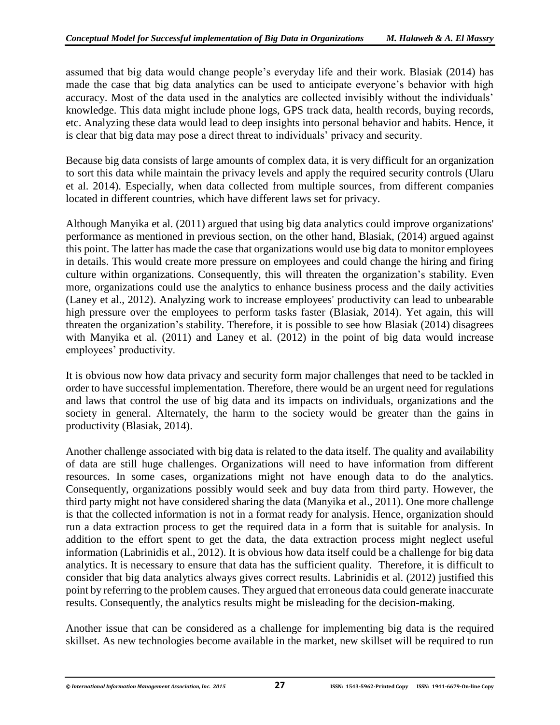assumed that big data would change people's everyday life and their work. Blasiak (2014) has made the case that big data analytics can be used to anticipate everyone's behavior with high accuracy. Most of the data used in the analytics are collected invisibly without the individuals' knowledge. This data might include phone logs, GPS track data, health records, buying records, etc. Analyzing these data would lead to deep insights into personal behavior and habits. Hence, it is clear that big data may pose a direct threat to individuals' privacy and security.

Because big data consists of large amounts of complex data, it is very difficult for an organization to sort this data while maintain the privacy levels and apply the required security controls (Ularu et al. 2014). Especially, when data collected from multiple sources, from different companies located in different countries, which have different laws set for privacy.

Although Manyika et al. (2011) argued that using big data analytics could improve organizations' performance as mentioned in previous section, on the other hand, Blasiak, (2014) argued against this point. The latter has made the case that organizations would use big data to monitor employees in details. This would create more pressure on employees and could change the hiring and firing culture within organizations. Consequently, this will threaten the organization's stability. Even more, organizations could use the analytics to enhance business process and the daily activities (Laney et al., 2012). Analyzing work to increase employees' productivity can lead to unbearable high pressure over the employees to perform tasks faster (Blasiak, 2014). Yet again, this will threaten the organization's stability. Therefore, it is possible to see how Blasiak (2014) disagrees with Manyika et al. (2011) and Laney et al. (2012) in the point of big data would increase employees' productivity.

It is obvious now how data privacy and security form major challenges that need to be tackled in order to have successful implementation. Therefore, there would be an urgent need for regulations and laws that control the use of big data and its impacts on individuals, organizations and the society in general. Alternately, the harm to the society would be greater than the gains in productivity (Blasiak, 2014).

Another challenge associated with big data is related to the data itself. The quality and availability of data are still huge challenges. Organizations will need to have information from different resources. In some cases, organizations might not have enough data to do the analytics. Consequently, organizations possibly would seek and buy data from third party. However, the third party might not have considered sharing the data (Manyika et al., 2011). One more challenge is that the collected information is not in a format ready for analysis. Hence, organization should run a data extraction process to get the required data in a form that is suitable for analysis. In addition to the effort spent to get the data, the data extraction process might neglect useful information (Labrinidis et al., 2012). It is obvious how data itself could be a challenge for big data analytics. It is necessary to ensure that data has the sufficient quality. Therefore, it is difficult to consider that big data analytics always gives correct results. Labrinidis et al. (2012) justified this point by referring to the problem causes. They argued that erroneous data could generate inaccurate results. Consequently, the analytics results might be misleading for the decision-making.

Another issue that can be considered as a challenge for implementing big data is the required skillset. As new technologies become available in the market, new skillset will be required to run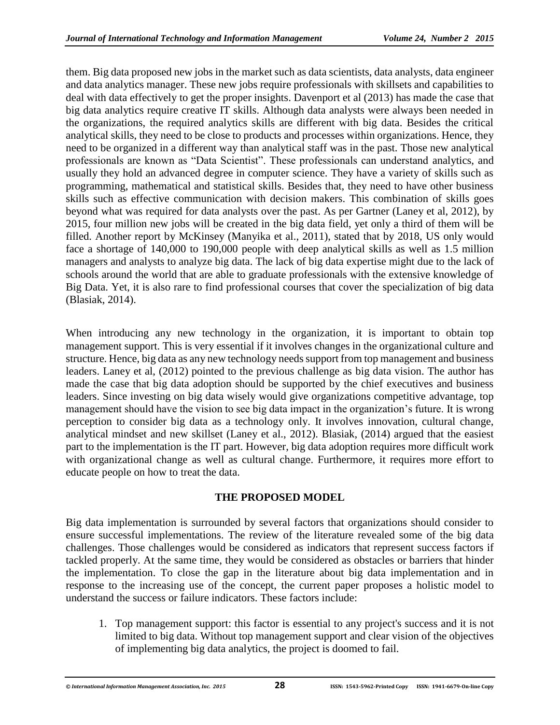them. Big data proposed new jobs in the market such as data scientists, data analysts, data engineer and data analytics manager. These new jobs require professionals with skillsets and capabilities to deal with data effectively to get the proper insights. Davenport et al (2013) has made the case that big data analytics require creative IT skills. Although data analysts were always been needed in the organizations, the required analytics skills are different with big data. Besides the critical analytical skills, they need to be close to products and processes within organizations. Hence, they need to be organized in a different way than analytical staff was in the past. Those new analytical professionals are known as "Data Scientist". These professionals can understand analytics, and usually they hold an advanced degree in computer science. They have a variety of skills such as programming, mathematical and statistical skills. Besides that, they need to have other business skills such as effective communication with decision makers. This combination of skills goes beyond what was required for data analysts over the past. As per Gartner (Laney et al, 2012), by 2015, four million new jobs will be created in the big data field, yet only a third of them will be filled. Another report by McKinsey (Manyika et al., 2011), stated that by 2018, US only would face a shortage of 140,000 to 190,000 people with deep analytical skills as well as 1.5 million managers and analysts to analyze big data. The lack of big data expertise might due to the lack of schools around the world that are able to graduate professionals with the extensive knowledge of Big Data. Yet, it is also rare to find professional courses that cover the specialization of big data (Blasiak, 2014).

When introducing any new technology in the organization, it is important to obtain top management support. This is very essential if it involves changes in the organizational culture and structure. Hence, big data as any new technology needs support from top management and business leaders. Laney et al, (2012) pointed to the previous challenge as big data vision. The author has made the case that big data adoption should be supported by the chief executives and business leaders. Since investing on big data wisely would give organizations competitive advantage, top management should have the vision to see big data impact in the organization's future. It is wrong perception to consider big data as a technology only. It involves innovation, cultural change, analytical mindset and new skillset (Laney et al., 2012). Blasiak, (2014) argued that the easiest part to the implementation is the IT part. However, big data adoption requires more difficult work with organizational change as well as cultural change. Furthermore, it requires more effort to educate people on how to treat the data.

#### **THE PROPOSED MODEL**

Big data implementation is surrounded by several factors that organizations should consider to ensure successful implementations. The review of the literature revealed some of the big data challenges. Those challenges would be considered as indicators that represent success factors if tackled properly. At the same time, they would be considered as obstacles or barriers that hinder the implementation. To close the gap in the literature about big data implementation and in response to the increasing use of the concept, the current paper proposes a holistic model to understand the success or failure indicators. These factors include:

1. Top management support: this factor is essential to any project's success and it is not limited to big data. Without top management support and clear vision of the objectives of implementing big data analytics, the project is doomed to fail.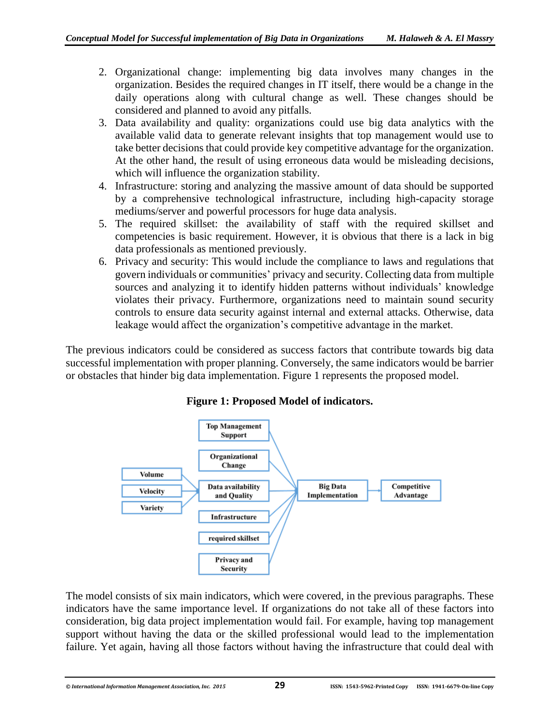- 2. Organizational change: implementing big data involves many changes in the organization. Besides the required changes in IT itself, there would be a change in the daily operations along with cultural change as well. These changes should be considered and planned to avoid any pitfalls.
- 3. Data availability and quality: organizations could use big data analytics with the available valid data to generate relevant insights that top management would use to take better decisions that could provide key competitive advantage for the organization. At the other hand, the result of using erroneous data would be misleading decisions, which will influence the organization stability.
- 4. Infrastructure: storing and analyzing the massive amount of data should be supported by a comprehensive technological infrastructure, including high-capacity storage mediums/server and powerful processors for huge data analysis.
- 5. The required skillset: the availability of staff with the required skillset and competencies is basic requirement. However, it is obvious that there is a lack in big data professionals as mentioned previously.
- 6. Privacy and security: This would include the compliance to laws and regulations that govern individuals or communities' privacy and security. Collecting data from multiple sources and analyzing it to identify hidden patterns without individuals' knowledge violates their privacy. Furthermore, organizations need to maintain sound security controls to ensure data security against internal and external attacks. Otherwise, data leakage would affect the organization's competitive advantage in the market.

The previous indicators could be considered as success factors that contribute towards big data successful implementation with proper planning. Conversely, the same indicators would be barrier or obstacles that hinder big data implementation. Figure 1 represents the proposed model.



**Figure 1: Proposed Model of indicators.**

The model consists of six main indicators, which were covered, in the previous paragraphs. These indicators have the same importance level. If organizations do not take all of these factors into consideration, big data project implementation would fail. For example, having top management support without having the data or the skilled professional would lead to the implementation failure. Yet again, having all those factors without having the infrastructure that could deal with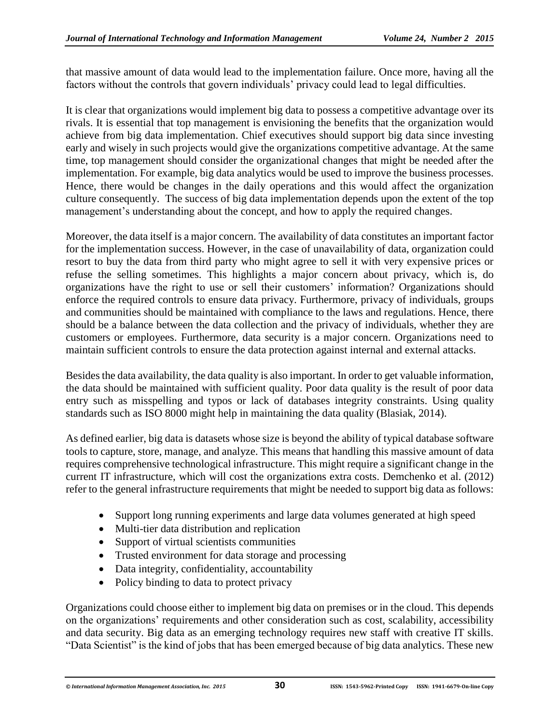that massive amount of data would lead to the implementation failure. Once more, having all the factors without the controls that govern individuals' privacy could lead to legal difficulties.

It is clear that organizations would implement big data to possess a competitive advantage over its rivals. It is essential that top management is envisioning the benefits that the organization would achieve from big data implementation. Chief executives should support big data since investing early and wisely in such projects would give the organizations competitive advantage. At the same time, top management should consider the organizational changes that might be needed after the implementation. For example, big data analytics would be used to improve the business processes. Hence, there would be changes in the daily operations and this would affect the organization culture consequently. The success of big data implementation depends upon the extent of the top management's understanding about the concept, and how to apply the required changes.

Moreover, the data itself is a major concern. The availability of data constitutes an important factor for the implementation success. However, in the case of unavailability of data, organization could resort to buy the data from third party who might agree to sell it with very expensive prices or refuse the selling sometimes. This highlights a major concern about privacy, which is, do organizations have the right to use or sell their customers' information? Organizations should enforce the required controls to ensure data privacy. Furthermore, privacy of individuals, groups and communities should be maintained with compliance to the laws and regulations. Hence, there should be a balance between the data collection and the privacy of individuals, whether they are customers or employees. Furthermore, data security is a major concern. Organizations need to maintain sufficient controls to ensure the data protection against internal and external attacks.

Besides the data availability, the data quality is also important. In order to get valuable information, the data should be maintained with sufficient quality. Poor data quality is the result of poor data entry such as misspelling and typos or lack of databases integrity constraints. Using quality standards such as ISO 8000 might help in maintaining the data quality (Blasiak, 2014).

As defined earlier, big data is datasets whose size is beyond the ability of typical database software tools to capture, store, manage, and analyze. This means that handling this massive amount of data requires comprehensive technological infrastructure. This might require a significant change in the current IT infrastructure, which will cost the organizations extra costs. Demchenko et al. (2012) refer to the general infrastructure requirements that might be needed to support big data as follows:

- Support long running experiments and large data volumes generated at high speed
- Multi-tier data distribution and replication
- Support of virtual scientists communities
- Trusted environment for data storage and processing
- Data integrity, confidentiality, accountability
- Policy binding to data to protect privacy

Organizations could choose either to implement big data on premises or in the cloud. This depends on the organizations' requirements and other consideration such as cost, scalability, accessibility and data security. Big data as an emerging technology requires new staff with creative IT skills. "Data Scientist" is the kind of jobs that has been emerged because of big data analytics. These new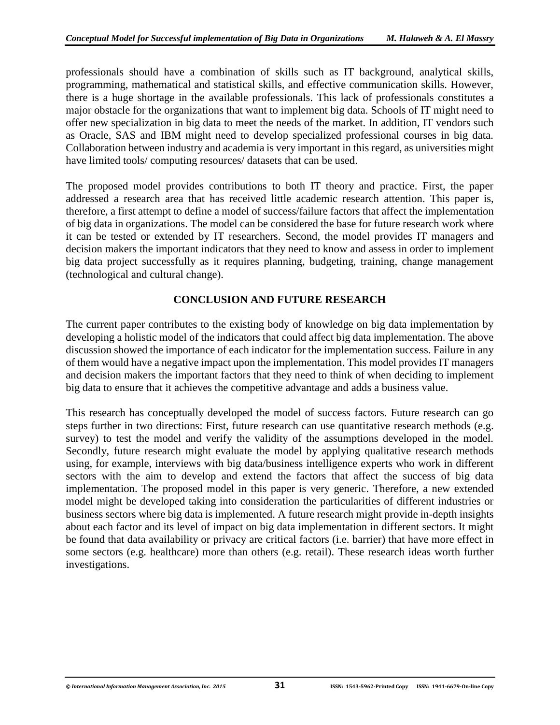professionals should have a combination of skills such as IT background, analytical skills, programming, mathematical and statistical skills, and effective communication skills. However, there is a huge shortage in the available professionals. This lack of professionals constitutes a major obstacle for the organizations that want to implement big data. Schools of IT might need to offer new specialization in big data to meet the needs of the market. In addition, IT vendors such as Oracle, SAS and IBM might need to develop specialized professional courses in big data. Collaboration between industry and academia is very important in this regard, as universities might have limited tools/ computing resources/ datasets that can be used.

The proposed model provides contributions to both IT theory and practice. First, the paper addressed a research area that has received little academic research attention. This paper is, therefore, a first attempt to define a model of success/failure factors that affect the implementation of big data in organizations. The model can be considered the base for future research work where it can be tested or extended by IT researchers. Second, the model provides IT managers and decision makers the important indicators that they need to know and assess in order to implement big data project successfully as it requires planning, budgeting, training, change management (technological and cultural change).

#### **CONCLUSION AND FUTURE RESEARCH**

The current paper contributes to the existing body of knowledge on big data implementation by developing a holistic model of the indicators that could affect big data implementation. The above discussion showed the importance of each indicator for the implementation success. Failure in any of them would have a negative impact upon the implementation. This model provides IT managers and decision makers the important factors that they need to think of when deciding to implement big data to ensure that it achieves the competitive advantage and adds a business value.

This research has conceptually developed the model of success factors. Future research can go steps further in two directions: First, future research can use quantitative research methods (e.g. survey) to test the model and verify the validity of the assumptions developed in the model. Secondly, future research might evaluate the model by applying qualitative research methods using, for example, interviews with big data/business intelligence experts who work in different sectors with the aim to develop and extend the factors that affect the success of big data implementation. The proposed model in this paper is very generic. Therefore, a new extended model might be developed taking into consideration the particularities of different industries or business sectors where big data is implemented. A future research might provide in-depth insights about each factor and its level of impact on big data implementation in different sectors. It might be found that data availability or privacy are critical factors (i.e. barrier) that have more effect in some sectors (e.g. healthcare) more than others (e.g. retail). These research ideas worth further investigations.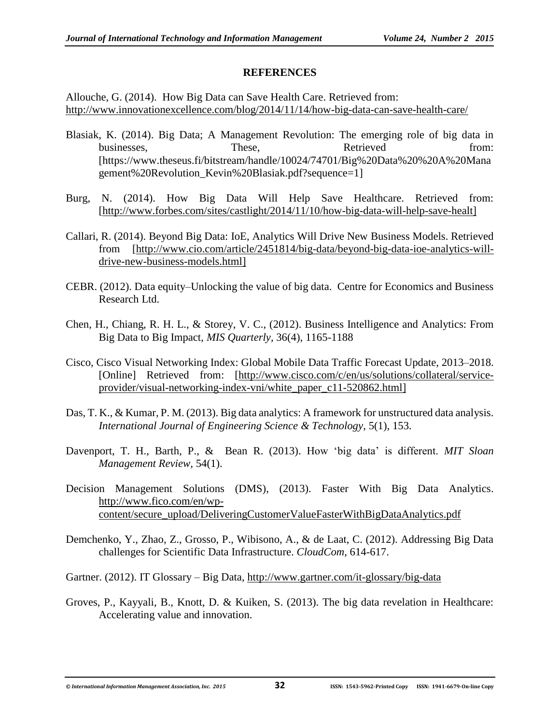#### **REFERENCES**

Allouche, G. (2014). How Big Data can Save Health Care. Retrieved from: <http://www.innovationexcellence.com/blog/2014/11/14/how-big-data-can-save-health-care/>

- Blasiak, K. (2014). Big Data; A Management Revolution: The emerging role of big data in businesses. These, Retrieved from: [https://www.theseus.fi/bitstream/handle/10024/74701/Big%20Data%20%20A%20Mana gement%20Revolution\_Kevin%20Blasiak.pdf?sequence=1]
- Burg, N. (2014). How Big Data Will Help Save Healthcare. Retrieved from: [\[http://www.forbes.com/sites/castlight/2014/11/10/how-big-data-will-help-save-healt\]](http://www.forbes.com/sites/castlight/2014/11/10/how-big-data-will-help-save-healt)
- Callari, R. (2014). Beyond Big Data: IoE, Analytics Will Drive New Business Models. Retrieved from [\[http://www.cio.com/article/2451814/big-data/beyond-big-data-ioe-analytics-will](http://www.cio.com/article/2451814/big-data/beyond-big-data-ioe-analytics-will-drive-new-business-models.html)[drive-new-business-models.html\]](http://www.cio.com/article/2451814/big-data/beyond-big-data-ioe-analytics-will-drive-new-business-models.html)
- CEBR. (2012). Data equity–Unlocking the value of big data. Centre for Economics and Business Research Ltd.
- Chen, H., Chiang, R. H. L., & Storey, V. C., (2012). Business Intelligence and Analytics: From Big Data to Big Impact, *MIS Quarterly,* 36(4), 1165-1188
- Cisco, Cisco Visual Networking Index: Global Mobile Data Traffic Forecast Update, 2013–2018. [Online] Retrieved from: [\[http://www.cisco.com/c/en/us/solutions/collateral/service](http://www.cisco.com/c/en/us/solutions/collateral/service-provider/visual-networking-index-vni/white_paper_c11-520862.html)[provider/visual-networking-index-vni/white\\_paper\\_c11-520862.html\]](http://www.cisco.com/c/en/us/solutions/collateral/service-provider/visual-networking-index-vni/white_paper_c11-520862.html)
- Das, T. K., & Kumar, P. M. (2013). Big data analytics: A framework for unstructured data analysis. *International Journal of Engineering Science & Technology*, 5(1), 153.
- Davenport, T. H., Barth, P., & Bean R. (2013). How 'big data' is different. *MIT Sloan Management Review,* 54(1).
- Decision Management Solutions (DMS), (2013). Faster With Big Data Analytics. [http://www.fico.com/en/wp](http://www.fico.com/en/wp-content/secure_upload/DeliveringCustomerValueFasterWithBigDataAnalytics.pdf)[content/secure\\_upload/DeliveringCustomerValueFasterWithBigDataAnalytics.pdf](http://www.fico.com/en/wp-content/secure_upload/DeliveringCustomerValueFasterWithBigDataAnalytics.pdf)
- Demchenko, Y., Zhao, Z., Grosso, P., Wibisono, A., & de Laat, C. (2012). Addressing Big Data challenges for Scientific Data Infrastructure. *CloudCom*, 614-617.
- Gartner. (2012). IT Glossary Big Data,<http://www.gartner.com/it-glossary/big-data>
- Groves, P., Kayyali, B., Knott, D. & Kuiken, S. (2013). The big data revelation in Healthcare: Accelerating value and innovation.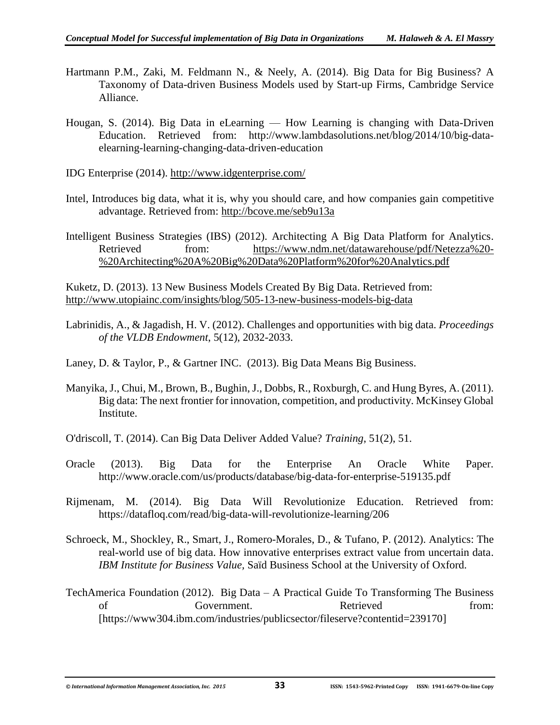- Hartmann P.M., Zaki, M. Feldmann N., & Neely, A. (2014). Big Data for Big Business? A Taxonomy of Data-driven Business Models used by Start-up Firms, Cambridge Service Alliance.
- Hougan, S. (2014). Big Data in eLearning How Learning is changing with Data-Driven Education. Retrieved from: http://www.lambdasolutions.net/blog/2014/10/big-dataelearning-learning-changing-data-driven-education
- IDG Enterprise (2014). <http://www.idgenterprise.com/>
- Intel, Introduces big data, what it is, why you should care, and how companies gain competitive advantage. Retrieved from:<http://bcove.me/seb9u13a>
- Intelligent Business Strategies (IBS) (2012). Architecting A Big Data Platform for Analytics. Retrieved from: [https://www.ndm.net/datawarehouse/pdf/Netezza%20-](https://www.ndm.net/datawarehouse/pdf/Netezza%20-%20Architecting%20A%20Big%20Data%20Platform%20for%20Analytics.pdf) [%20Architecting%20A%20Big%20Data%20Platform%20for%20Analytics.pdf](https://www.ndm.net/datawarehouse/pdf/Netezza%20-%20Architecting%20A%20Big%20Data%20Platform%20for%20Analytics.pdf)

Kuketz, D. (2013). 13 New Business Models Created By Big Data. Retrieved from: <http://www.utopiainc.com/insights/blog/505-13-new-business-models-big-data>

- Labrinidis, A., & Jagadish, H. V. (2012). Challenges and opportunities with big data. *Proceedings of the VLDB Endowment*, 5(12), 2032-2033.
- Laney, D. & Taylor, P., & Gartner INC. (2013). Big Data Means Big Business.
- Manyika, J., Chui, M., Brown, B., Bughin, J., Dobbs, R., Roxburgh, C. and Hung Byres, A. (2011). Big data: The next frontier for innovation, competition, and productivity. McKinsey Global Institute.
- O'driscoll, T. (2014). Can Big Data Deliver Added Value? *Training*, 51(2), 51.
- Oracle (2013). Big Data for the Enterprise An Oracle White Paper. http://www.oracle.com/us/products/database/big-data-for-enterprise-519135.pdf
- Rijmenam, M. (2014). Big Data Will Revolutionize Education. Retrieved from: https://datafloq.com/read/big-data-will-revolutionize-learning/206
- Schroeck, M., Shockley, R., Smart, J., Romero-Morales, D., & Tufano, P. (2012). Analytics: The real-world use of big data. How innovative enterprises extract value from uncertain data. *IBM Institute for Business Value,* Saïd Business School at the University of Oxford.
- TechAmerica Foundation (2012). Big Data A Practical Guide To Transforming The Business of Government. Retrieved from: [https://www304.ibm.com/industries/publicsector/fileserve?contentid=239170]